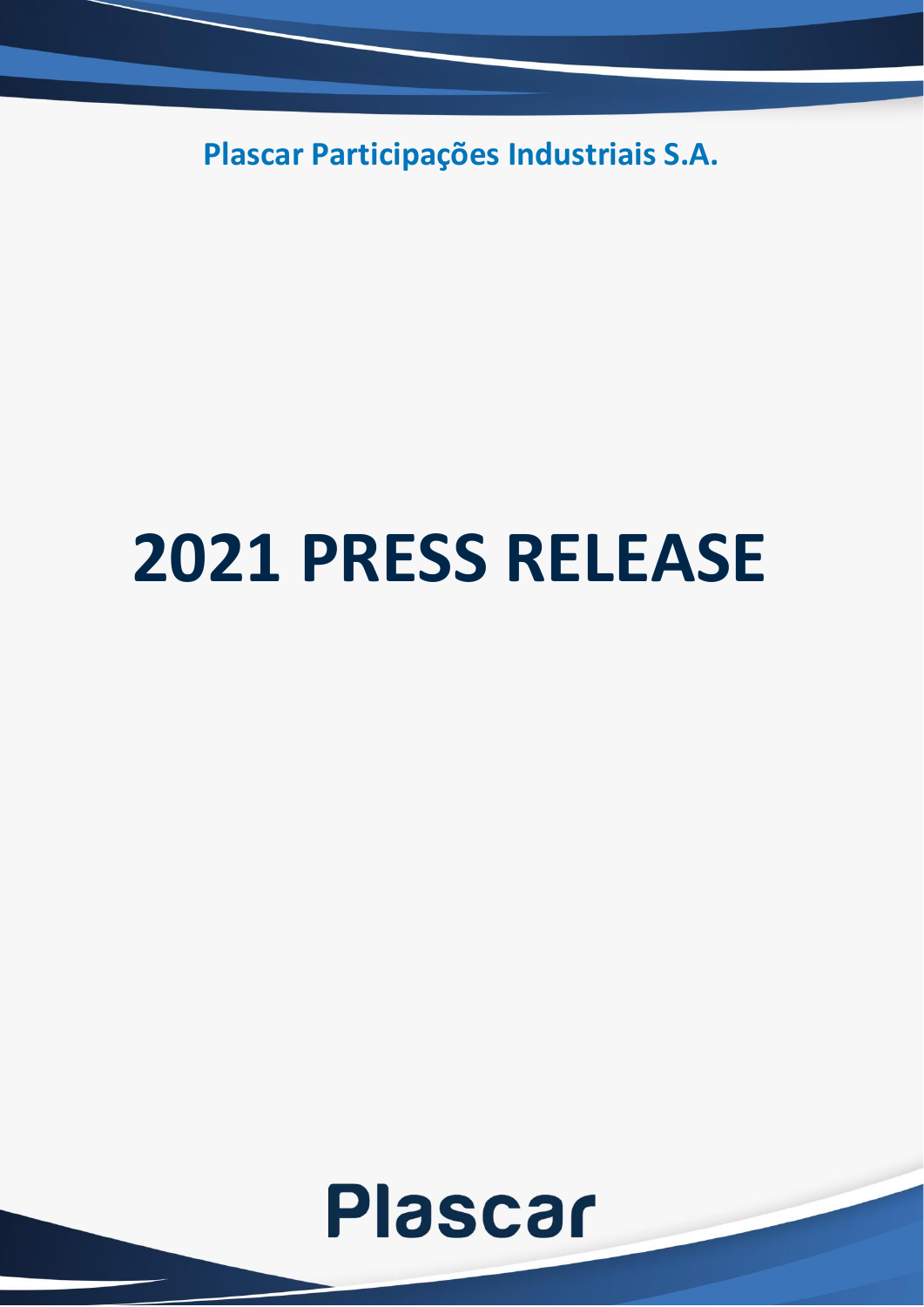**Plascar Participações Industriais S.A.**

# **2021 PRESS RELEASE**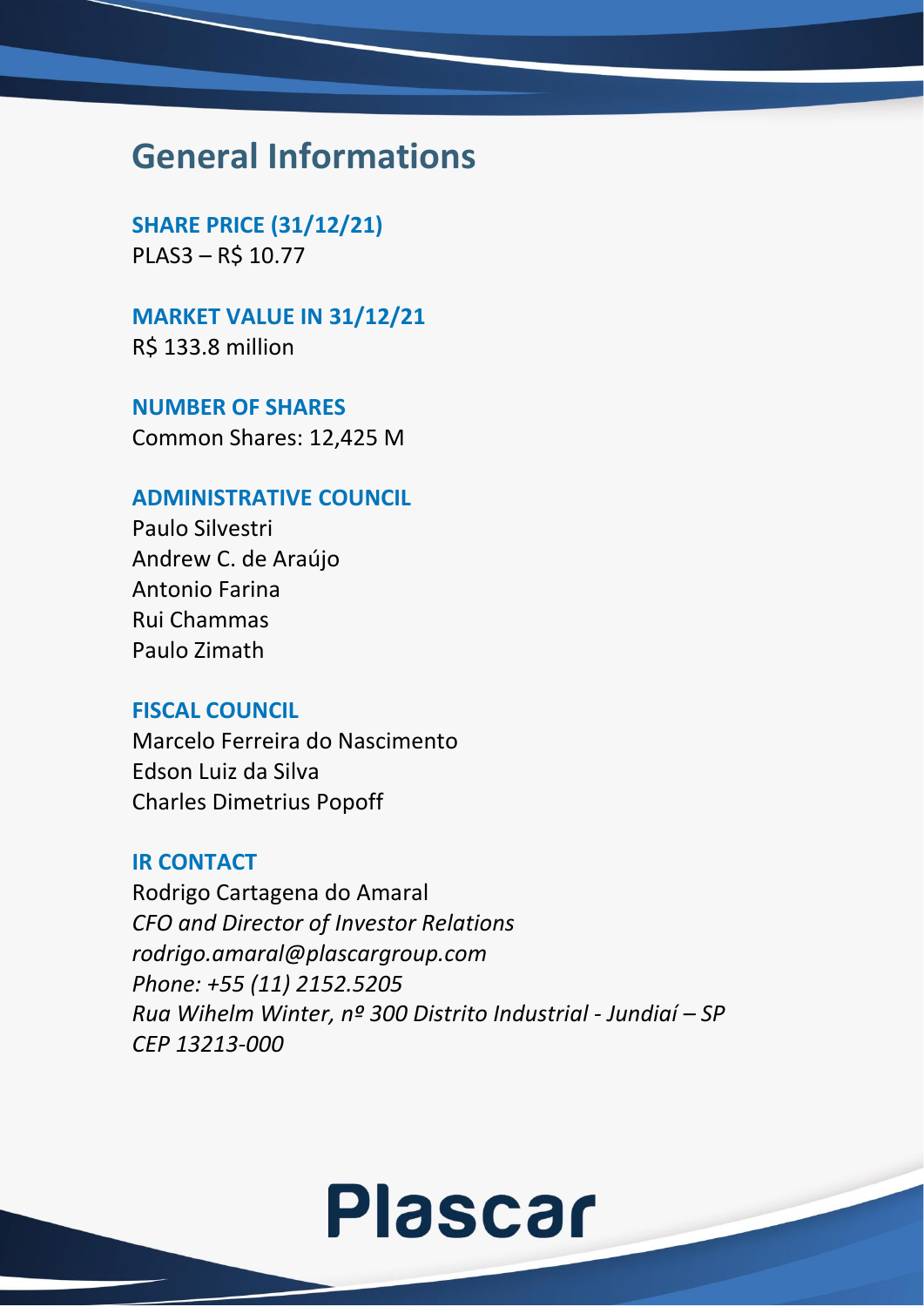### **General Informations**

**SHARE PRICE (31/12/21)** PLAS3 – R\$ 10.77

**MARKET VALUE IN 31/12/21**

R\$ 133.8 million

**NUMBER OF SHARES** Common Shares: 12,425 M

#### **ADMINISTRATIVE COUNCIL**

Paulo Silvestri Andrew C. de Araújo Antonio Farina Rui Chammas Paulo Zimath

### **FISCAL COUNCIL**

Marcelo Ferreira do Nascimento Edson Luiz da Silva Charles Dimetrius Popoff

#### **IR CONTACT**

Rodrigo Cartagena do Amaral *CFO and Director of Investor Relations rodrigo.amaral@plascargroup.com Phone: +55 (11) 2152.5205 Rua Wihelm Winter, nº 300 Distrito Industrial - Jundiaí – SP CEP 13213-000*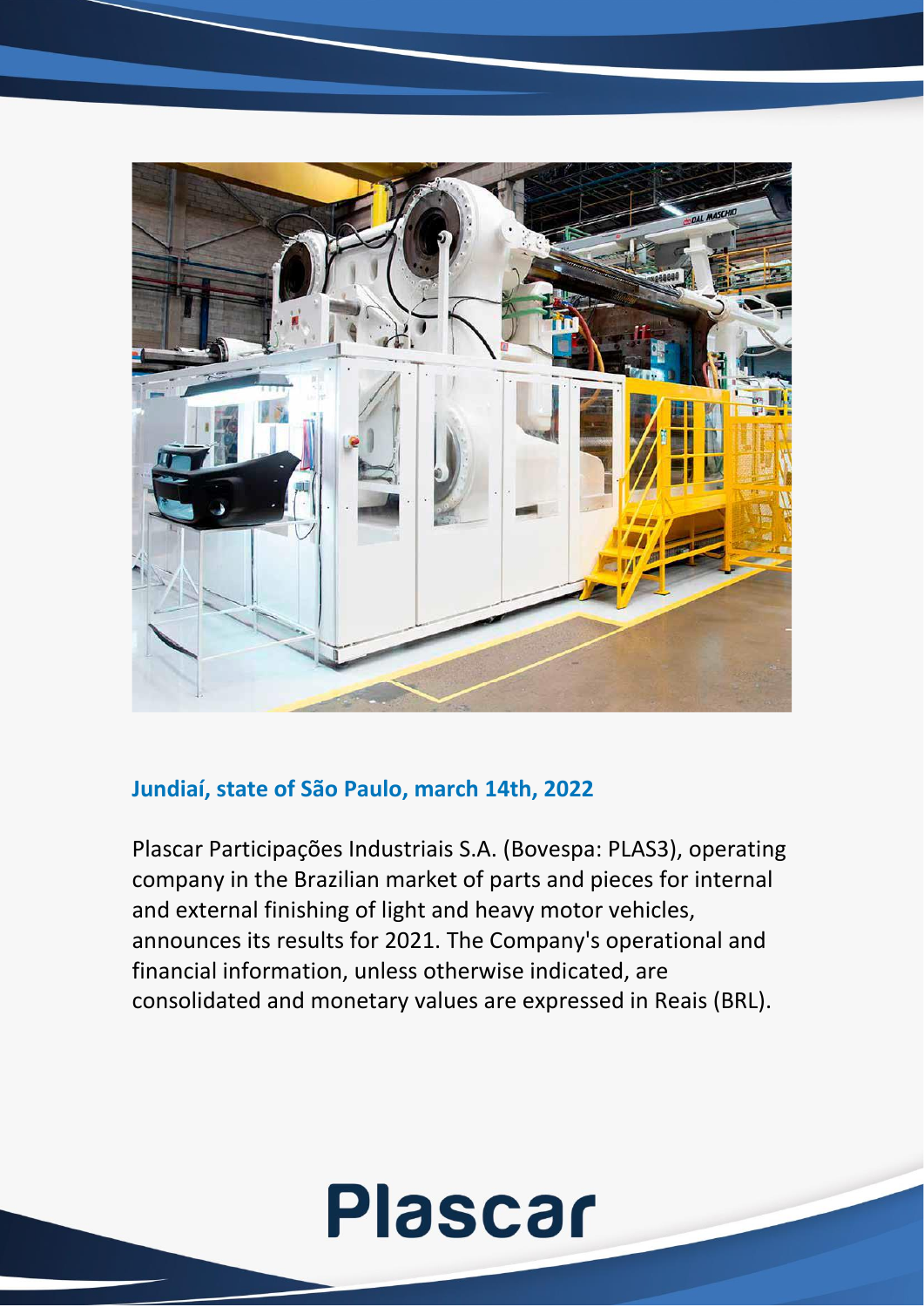

### **Jundiaí, state of São Paulo, march 14th, 2022**

Plascar Participações Industriais S.A. (Bovespa: PLAS3), operating company in the Brazilian market of parts and pieces for internal and external finishing of light and heavy motor vehicles, announces its results for 2021. The Company's operational and financial information, unless otherwise indicated, are consolidated and monetary values are expressed in Reais (BRL).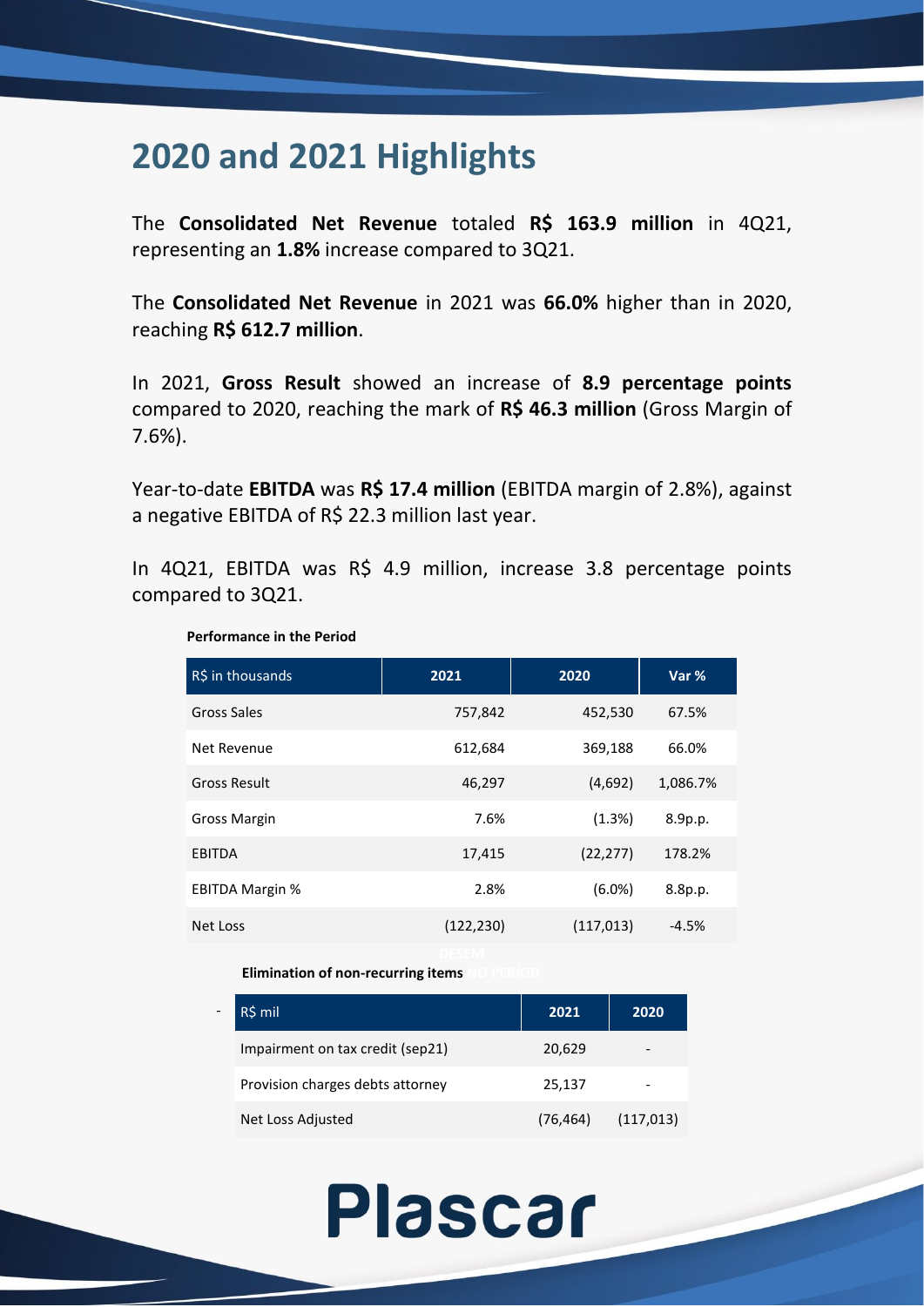## **2020 and 2021 Highlights**

The **Consolidated Net Revenue** totaled **R\$ 163.9 million** in 4Q21, representing an **1.8%** increase compared to 3Q21.

The **Consolidated Net Revenue** in 2021 was **66.0%** higher than in 2020, reaching **R\$ 612.7 million**.

In 2021, **Gross Result** showed an increase of **8.9 percentage points** compared to 2020, reaching the mark of **R\$ 46.3 million** (Gross Margin of 7.6%).

Year-to-date **EBITDA** was **R\$ 17.4 million** (EBITDA margin of 2.8%), against a negative EBITDA of R\$ 22.3 million last year.

In 4Q21, EBITDA was R\$ 4.9 million, increase 3.8 percentage points compared to 3Q21.

| R\$ in thousands       | 2021       | 2020       | Var %    |
|------------------------|------------|------------|----------|
| Gross Sales            | 757,842    | 452,530    | 67.5%    |
| Net Revenue            | 612,684    | 369,188    | 66.0%    |
| <b>Gross Result</b>    | 46,297     | (4,692)    | 1,086.7% |
| Gross Margin           | 7.6%       | (1.3%)     | 8.9p.p.  |
| <b>EBITDA</b>          | 17,415     | (22, 277)  | 178.2%   |
| <b>EBITDA Margin %</b> | 2.8%       | $(6.0\%)$  | 8.8p.p.  |
| Net Loss               | (122, 230) | (117, 013) | $-4.5%$  |

#### **Performance in the Period**

- 1990 - 1990 - 1991 - 1992 - 1993<br>1994 - 1994 - 1994 - 1994 - 1994 - 1994 - 1994 - 1994 - 1994 - 1994 - 1994 - 1994 - 1994 - 1994 - 1994 - 1994

#### **Elimination of non-recurring items**

| R\$ mil                          | 2021      | 2020       |
|----------------------------------|-----------|------------|
| Impairment on tax credit (sep21) | 20,629    |            |
| Provision charges debts attorney | 25,137    |            |
| Net Loss Adjusted                | (76, 464) | (117, 013) |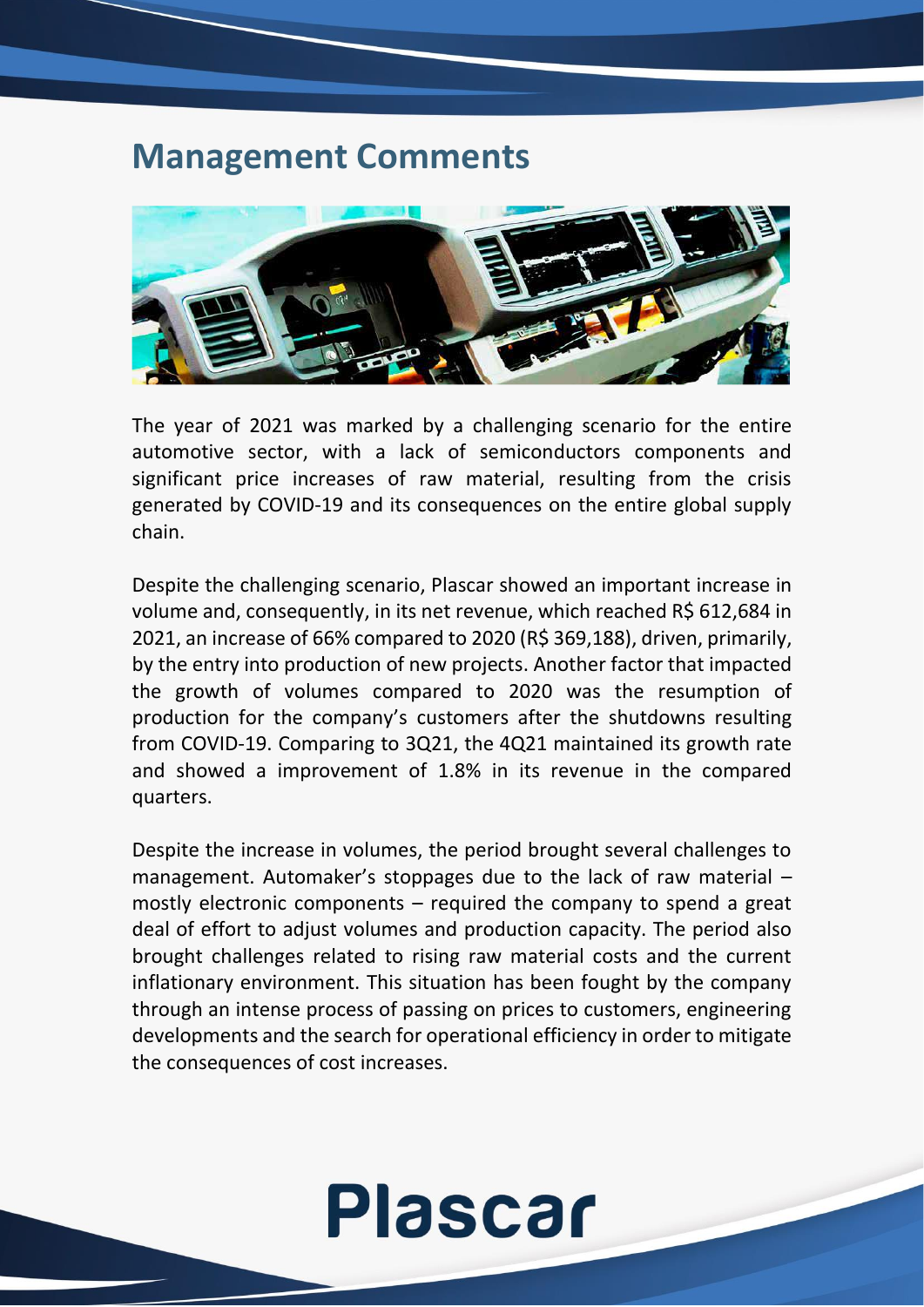### **Management Comments**



The year of 2021 was marked by a challenging scenario for the entire automotive sector, with a lack of semiconductors components and significant price increases of raw material, resulting from the crisis generated by COVID-19 and its consequences on the entire global supply chain.

Despite the challenging scenario, Plascar showed an important increase in volume and, consequently, in its net revenue, which reached R\$ 612,684 in 2021, an increase of 66% compared to 2020 (R\$ 369,188), driven, primarily, by the entry into production of new projects. Another factor that impacted the growth of volumes compared to 2020 was the resumption of production for the company's customers after the shutdowns resulting from COVID-19. Comparing to 3Q21, the 4Q21 maintained its growth rate and showed a improvement of 1.8% in its revenue in the compared quarters.

Despite the increase in volumes, the period brought several challenges to management. Automaker's stoppages due to the lack of raw material – mostly electronic components – required the company to spend a great deal of effort to adjust volumes and production capacity. The period also brought challenges related to rising raw material costs and the current inflationary environment. This situation has been fought by the company through an intense process of passing on prices to customers, engineering developments and the search for operational efficiency in order to mitigate the consequences of cost increases.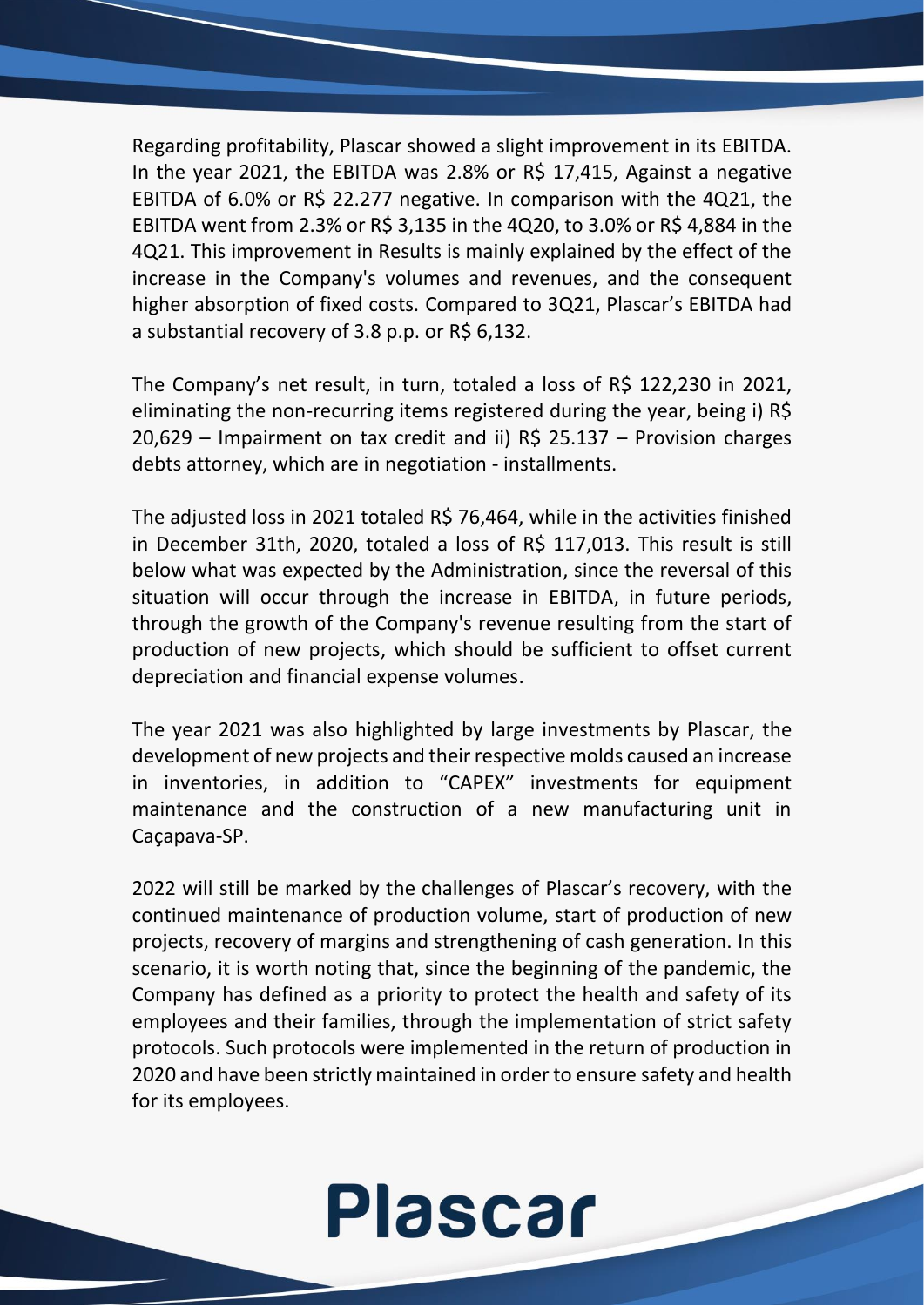Regarding profitability, Plascar showed a slight improvement in its EBITDA. In the year 2021, the EBITDA was 2.8% or R\$ 17,415, Against a negative EBITDA of 6.0% or R\$ 22.277 negative. In comparison with the 4Q21, the EBITDA went from 2.3% or R\$ 3,135 in the 4Q20, to 3.0% or R\$ 4,884 in the 4Q21. This improvement in Results is mainly explained by the effect of the increase in the Company's volumes and revenues, and the consequent higher absorption of fixed costs. Compared to 3Q21, Plascar's EBITDA had a substantial recovery of 3.8 p.p. or R\$ 6,132.

The Company's net result, in turn, totaled a loss of R\$ 122,230 in 2021, eliminating the non-recurring items registered during the year, being i) R\$ 20,629 – Impairment on tax credit and ii) R\$ 25.137 – Provision charges debts attorney, which are in negotiation - installments.

The adjusted loss in 2021 totaled R\$ 76,464, while in the activities finished in December 31th, 2020, totaled a loss of R\$ 117,013. This result is still below what was expected by the Administration, since the reversal of this situation will occur through the increase in EBITDA, in future periods, through the growth of the Company's revenue resulting from the start of production of new projects, which should be sufficient to offset current depreciation and financial expense volumes.

The year 2021 was also highlighted by large investments by Plascar, the development of new projects and their respective molds caused an increase in inventories, in addition to "CAPEX" investments for equipment maintenance and the construction of a new manufacturing unit in Caçapava-SP.

2022 will still be marked by the challenges of Plascar's recovery, with the continued maintenance of production volume, start of production of new projects, recovery of margins and strengthening of cash generation. In this scenario, it is worth noting that, since the beginning of the pandemic, the Company has defined as a priority to protect the health and safety of its employees and their families, through the implementation of strict safety protocols. Such protocols were implemented in the return of production in 2020 and have been strictly maintained in order to ensure safety and health for its employees.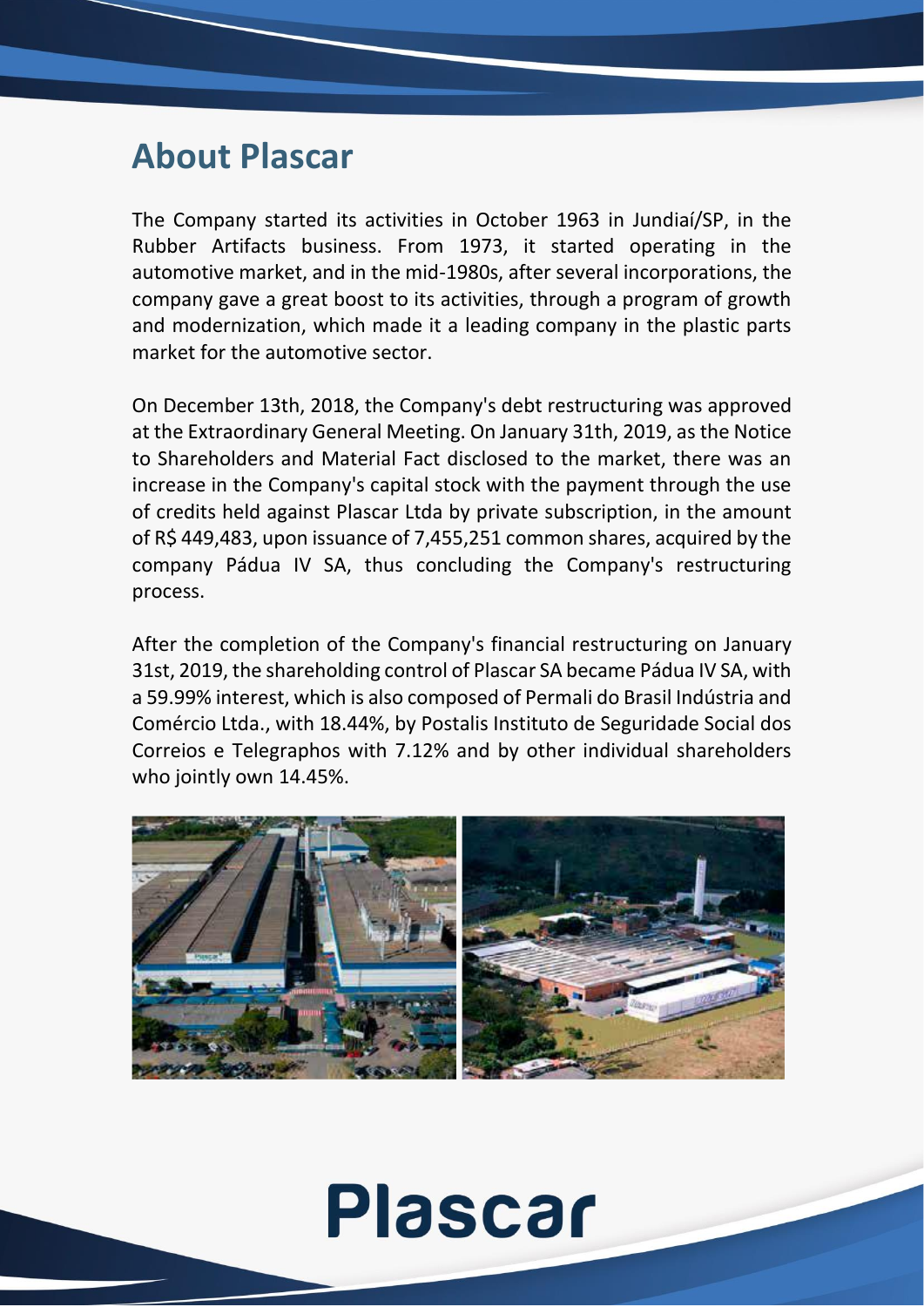## **About Plascar**

The Company started its activities in October 1963 in Jundiaí/SP, in the Rubber Artifacts business. From 1973, it started operating in the automotive market, and in the mid-1980s, after several incorporations, the company gave a great boost to its activities, through a program of growth and modernization, which made it a leading company in the plastic parts market for the automotive sector.

On December 13th, 2018, the Company's debt restructuring was approved at the Extraordinary General Meeting. On January 31th, 2019, as the Notice to Shareholders and Material Fact disclosed to the market, there was an increase in the Company's capital stock with the payment through the use of credits held against Plascar Ltda by private subscription, in the amount of R\$ 449,483, upon issuance of 7,455,251 common shares, acquired by the company Pádua IV SA, thus concluding the Company's restructuring process.

After the completion of the Company's financial restructuring on January 31st, 2019, the shareholding control of Plascar SA became Pádua IV SA, with a 59.99% interest, which is also composed of Permali do Brasil Indústria and Comércio Ltda., with 18.44%, by Postalis Instituto de Seguridade Social dos Correios e Telegraphos with 7.12% and by other individual shareholders who jointly own 14.45%.

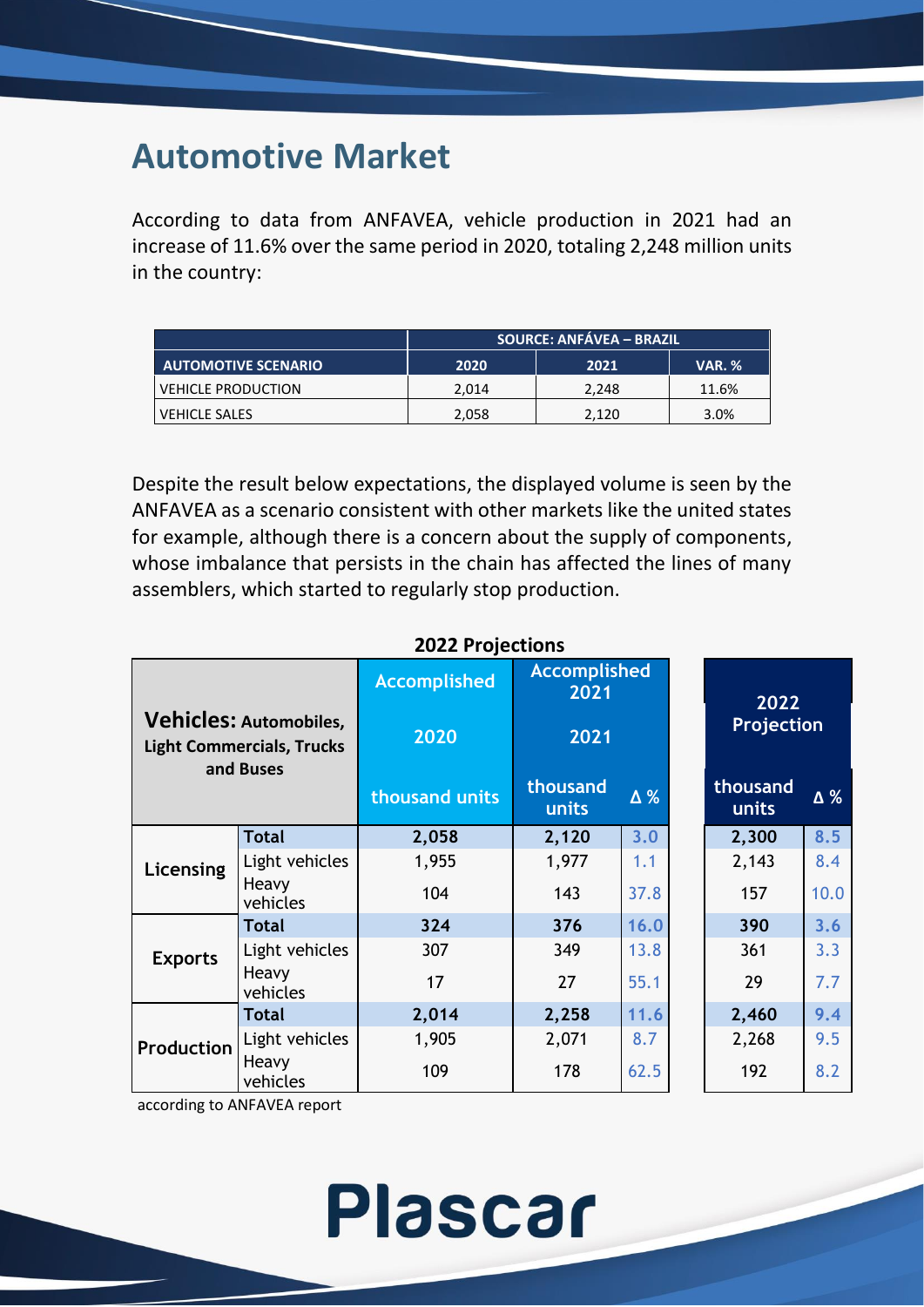## **Automotive Market**

According to data from ANFAVEA, vehicle production in 2021 had an increase of 11.6% over the same period in 2020, totaling 2,248 million units in the country:

|                            | <b>SOURCE: ANFÁVEA – BRAZIL</b> |       |               |  |  |
|----------------------------|---------------------------------|-------|---------------|--|--|
| <b>AUTOMOTIVE SCENARIO</b> | 2020                            | 2021  | <b>VAR. %</b> |  |  |
| <b>VEHICLE PRODUCTION</b>  | 2,014                           | 2.248 | 11.6%         |  |  |
| VEHICLE SALES              | 2,058                           | 2,120 | 3.0%          |  |  |

Despite the result below expectations, the displayed volume is seen by the ANFAVEA as a scenario consistent with other markets like the united states for example, although there is a concern about the supply of components, whose imbalance that persists in the chain has affected the lines of many assemblers, which started to regularly stop production.

| <b>Vehicles: Automobiles,</b><br><b>Light Commercials, Trucks</b> |                   | <b>Accomplished</b><br>2020 | <b>Accomplished</b><br>2021<br>2021 |                   | 2022<br><b>Projection</b> |      |
|-------------------------------------------------------------------|-------------------|-----------------------------|-------------------------------------|-------------------|---------------------------|------|
| and Buses                                                         | thousand units    | thousand<br>units           | Δ%                                  | thousand<br>units | Δ%                        |      |
|                                                                   | <b>Total</b>      | 2,058                       | 2,120                               | 3.0               | 2,300                     | 8.5  |
| Licensing                                                         | Light vehicles    | 1,955                       | 1,977                               | 1.1               | 2,143                     | 8.4  |
|                                                                   | Heavy<br>vehicles | 104                         | 143                                 | 37.8              | 157                       | 10.0 |
|                                                                   | <b>Total</b>      | 324                         | 376                                 | 16.0              | 390                       | 3.6  |
| <b>Exports</b>                                                    | Light vehicles    | 307                         | 349                                 | 13.8              | 361                       | 3.3  |
|                                                                   | Heavy<br>vehicles | 17                          | 27                                  | 55.1              | 29                        | 7.7  |
|                                                                   | <b>Total</b>      | 2,014                       | 2,258                               | 11.6              | 2,460                     | 9.4  |
| Production                                                        | Light vehicles    | 1,905                       | 2,071                               | 8.7               | 2,268                     | 9.5  |
|                                                                   | Heavy<br>vehicles | 109                         | 178                                 | 62.5              | 192                       | 8.2  |

**Plascar** 

#### **2022 Projections**

according to ANFAVEA report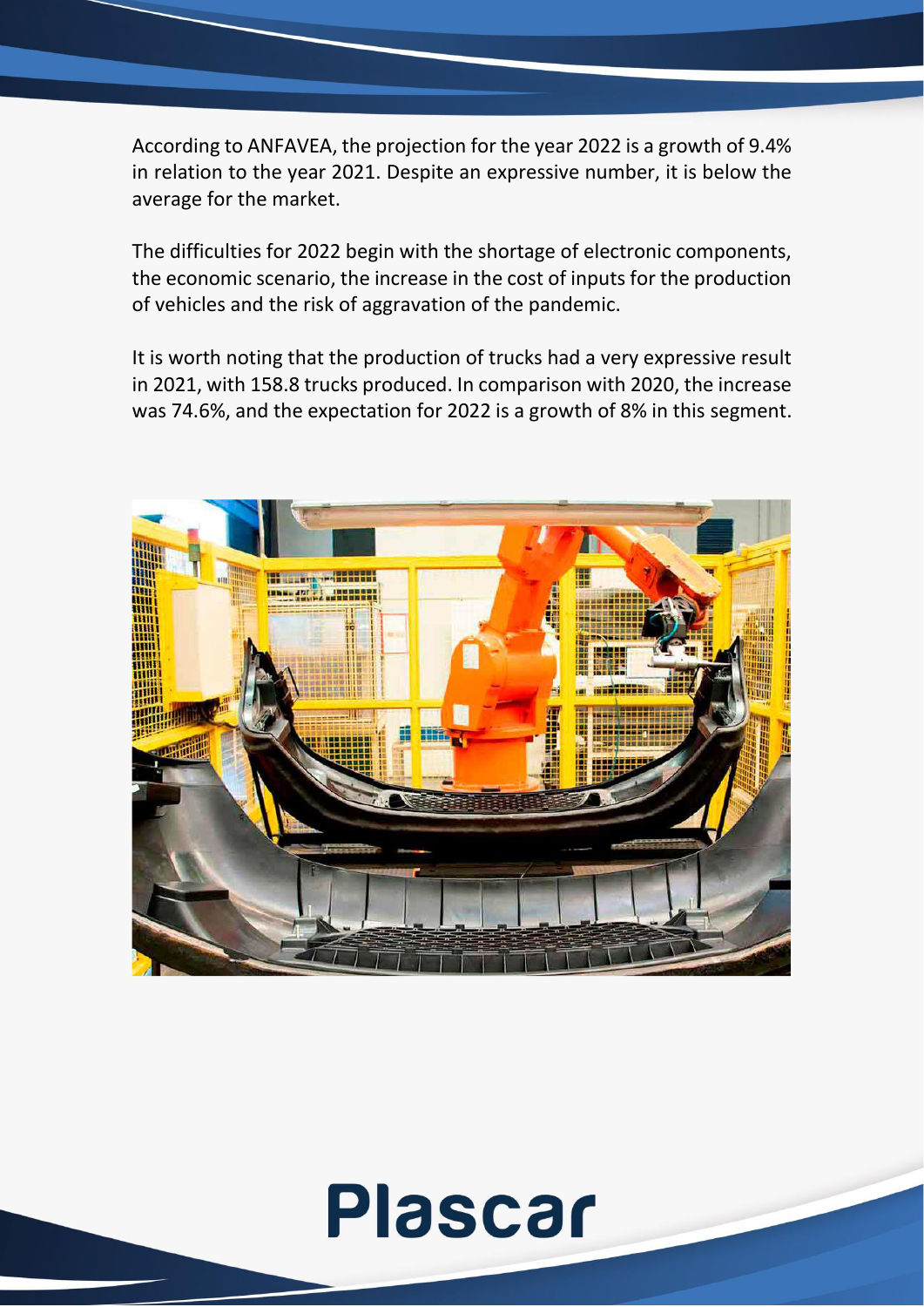According to ANFAVEA, the projection for the year 2022 is a growth of 9.4% in relation to the year 2021. Despite an expressive number, it is below the average for the market.

The difficulties for 2022 begin with the shortage of electronic components, the economic scenario, the increase in the cost of inputs for the production of vehicles and the risk of aggravation of the pandemic.

It is worth noting that the production of trucks had a very expressive result in 2021, with 158.8 trucks produced. In comparison with 2020, the increase was 74.6%, and the expectation for 2022 is a growth of 8% in this segment.

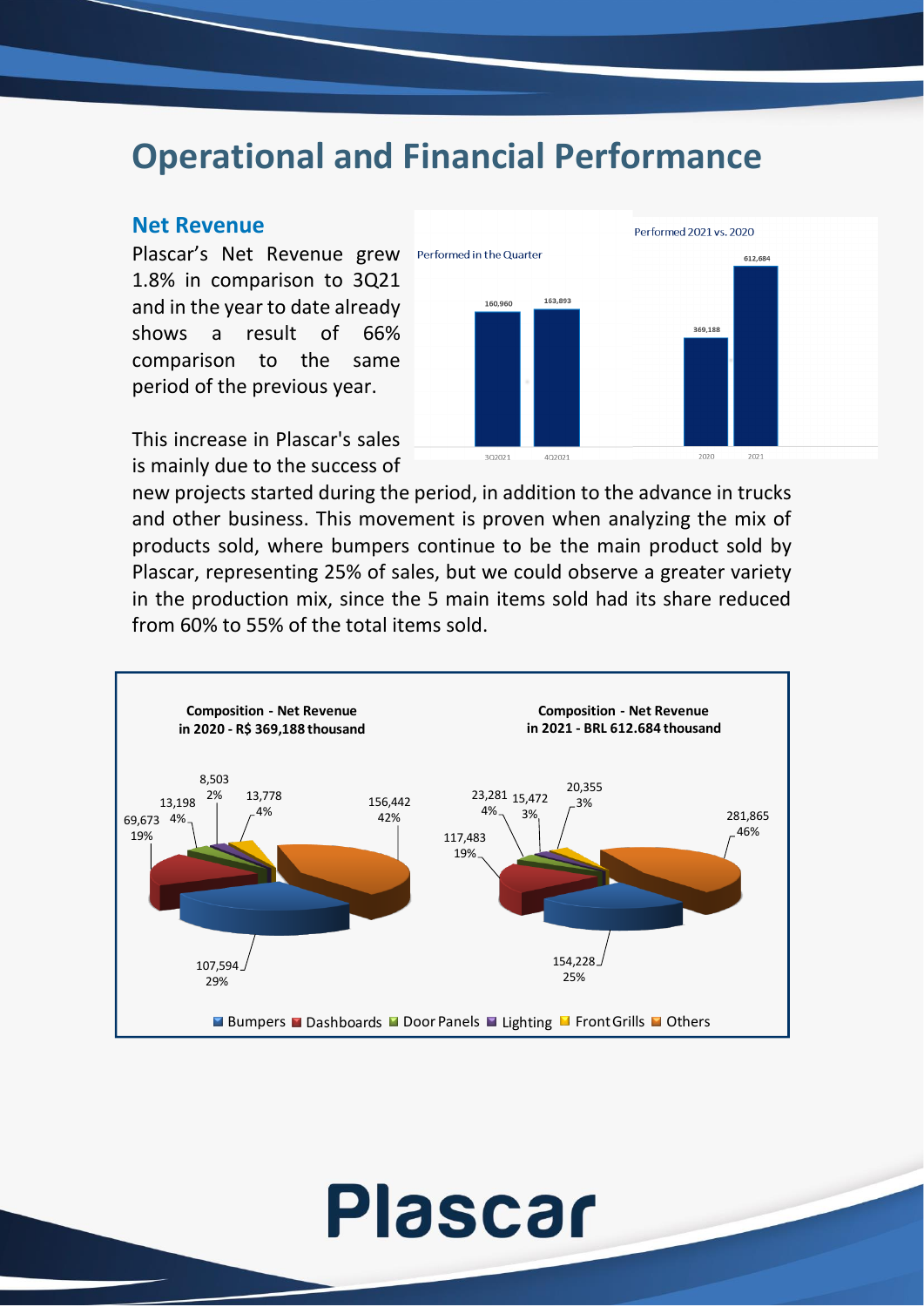### **Operational and Financial Performance**

#### **Net Revenue**

Plascar's Net Revenue grew 1.8% in comparison to 3Q21 and in the year to date already shows a result of 66% comparison to the same period of the previous year.

This increase in Plascar's sales is mainly due to the success of



new projects started during the period, in addition to the advance in trucks and other business. This movement is proven when analyzing the mix of products sold, where bumpers continue to be the main product sold by Plascar, representing 25% of sales, but we could observe a greater variety in the production mix, since the 5 main items sold had its share reduced from 60% to 55% of the total items sold.

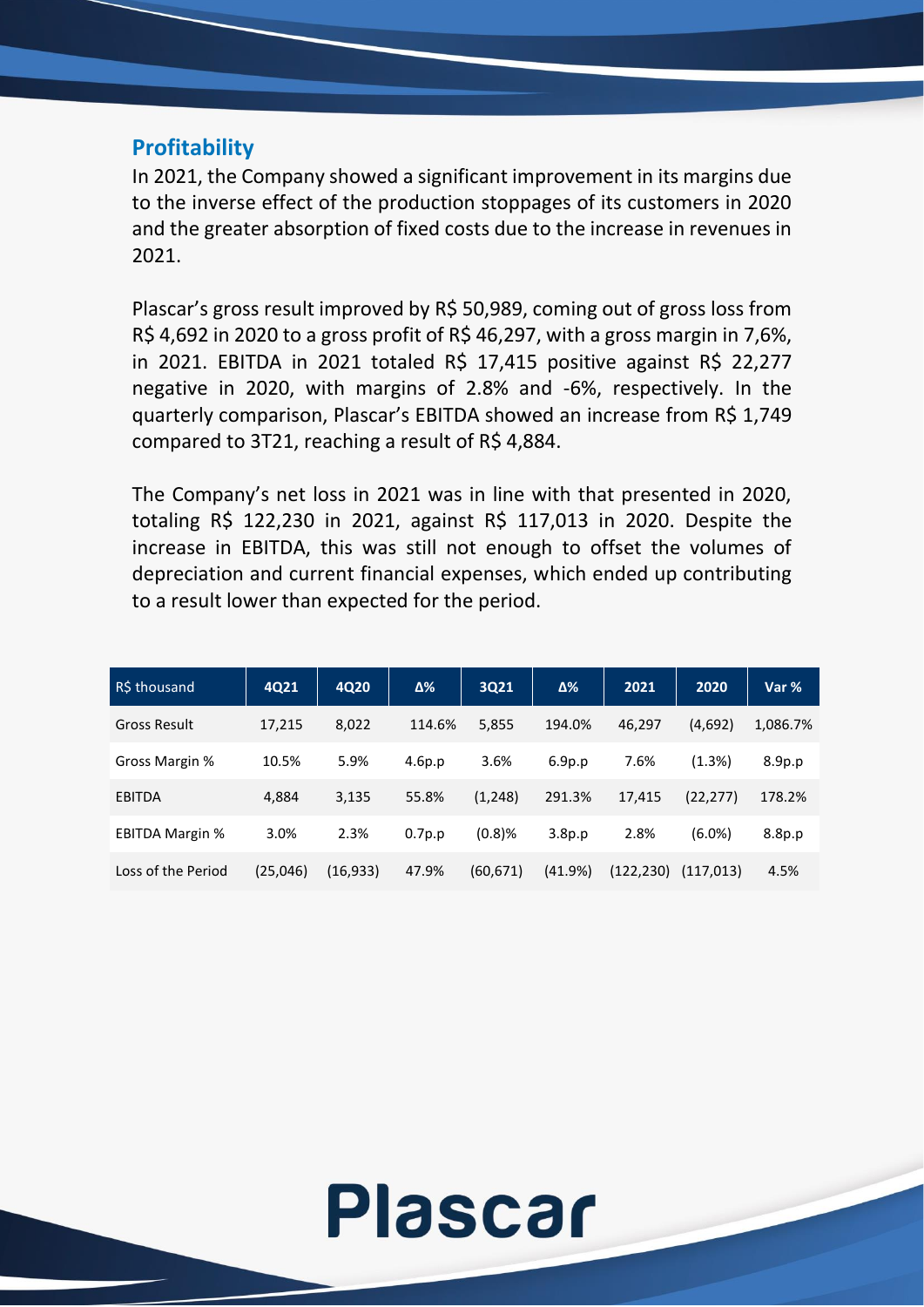### **Profitability**

In 2021, the Company showed a significant improvement in its margins due to the inverse effect of the production stoppages of its customers in 2020 and the greater absorption of fixed costs due to the increase in revenues in 2021.

Plascar's gross result improved by R\$ 50,989, coming out of gross loss from R\$ 4,692 in 2020 to a gross profit of R\$ 46,297, with a gross margin in 7,6%, in 2021. EBITDA in 2021 totaled R\$ 17,415 positive against R\$ 22,277 negative in 2020, with margins of 2.8% and -6%, respectively. In the quarterly comparison, Plascar's EBITDA showed an increase from R\$ 1,749 compared to 3T21, reaching a result of R\$ 4,884.

The Company's net loss in 2021 was in line with that presented in 2020, totaling R\$ 122,230 in 2021, against R\$ 117,013 in 2020. Despite the increase in EBITDA, this was still not enough to offset the volumes of depreciation and current financial expenses, which ended up contributing to a result lower than expected for the period.

| R\$ thousand           | 4Q21     | 4Q20      | $\Delta\%$ | 3Q21      | $\Delta\%$         | 2021       | 2020       | Var %    |
|------------------------|----------|-----------|------------|-----------|--------------------|------------|------------|----------|
| <b>Gross Result</b>    | 17,215   | 8,022     | 114.6%     | 5,855     | 194.0%             | 46.297     | (4,692)    | 1,086.7% |
| Gross Margin %         | 10.5%    | 5.9%      | 4.6p.p     | 3.6%      | 6.9 <sub>p.p</sub> | 7.6%       | (1.3%)     | 8.9p.p   |
| EBITDA                 | 4,884    | 3,135     | 55.8%      | (1, 248)  | 291.3%             | 17.415     | (22, 277)  | 178.2%   |
| <b>EBITDA Margin %</b> | 3.0%     | 2.3%      | 0.7p.p     | $(0.8)$ % | 3.8p.p             | 2.8%       | $(6.0\%)$  | 8.8p.p   |
| Loss of the Period     | (25,046) | (16, 933) | 47.9%      | (60, 671) | (41.9%)            | (122, 230) | (117, 013) | 4.5%     |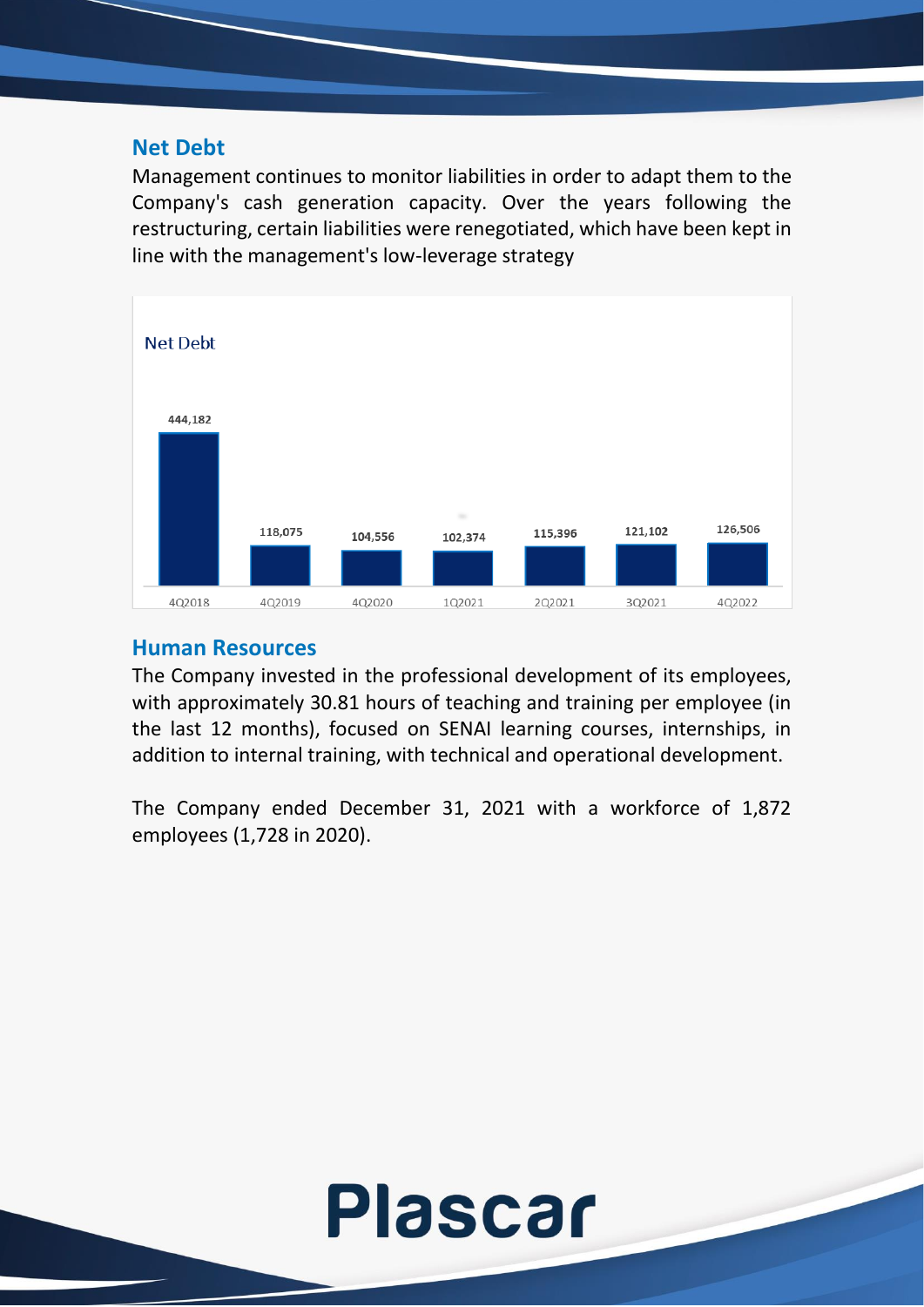#### **Net Debt**

Management continues to monitor liabilities in order to adapt them to the Company's cash generation capacity. Over the years following the restructuring, certain liabilities were renegotiated, which have been kept in line with the management's low-leverage strategy



### **Human Resources**

The Company invested in the professional development of its employees, with approximately 30.81 hours of teaching and training per employee (in the last 12 months), focused on SENAI learning courses, internships, in addition to internal training, with technical and operational development.

The Company ended December 31, 2021 with a workforce of 1,872 employees (1,728 in 2020).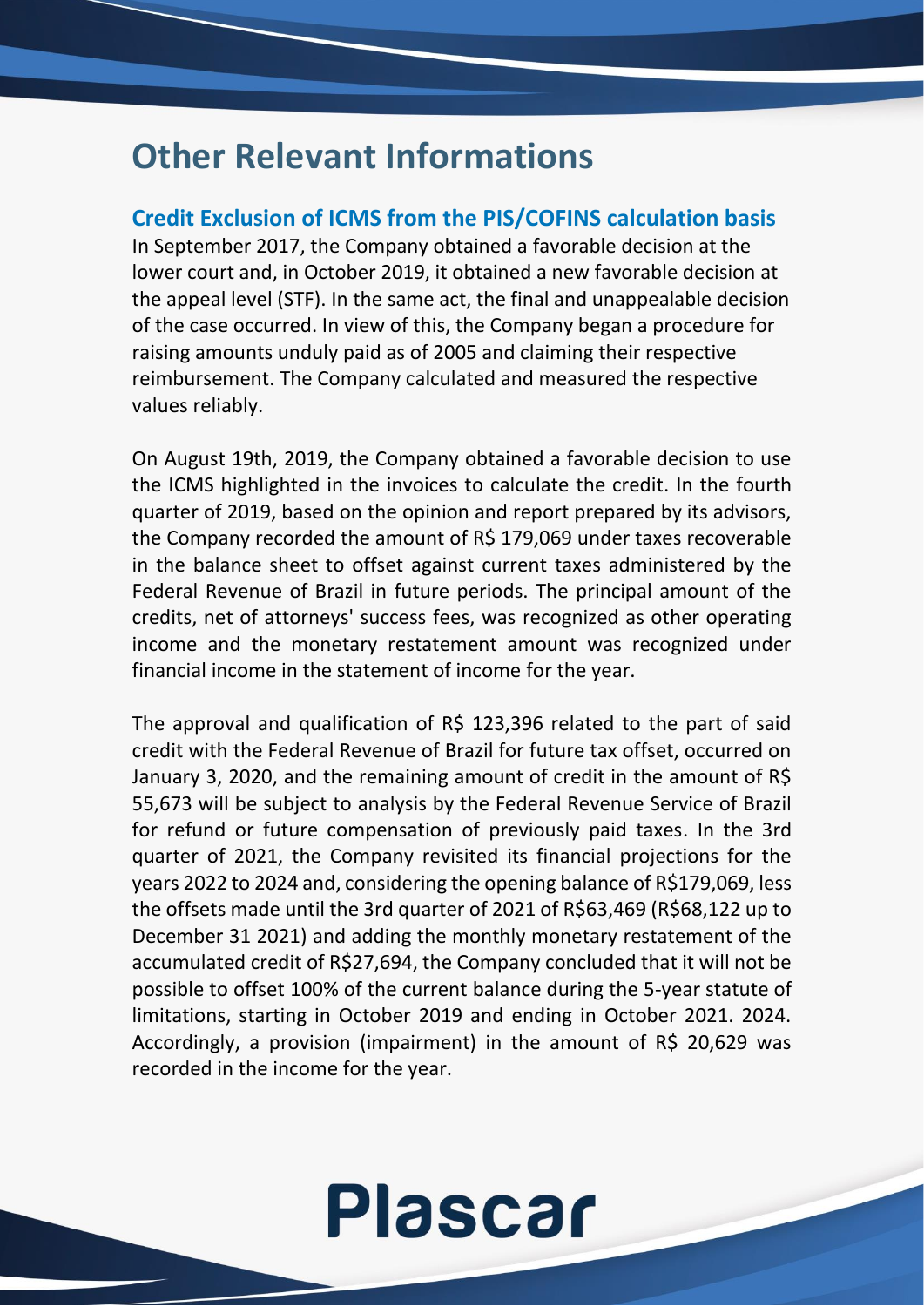### **Other Relevant Informations**

#### **Credit Exclusion of ICMS from the PIS/COFINS calculation basis**

In September 2017, the Company obtained a favorable decision at the lower court and, in October 2019, it obtained a new favorable decision at the appeal level (STF). In the same act, the final and unappealable decision of the case occurred. In view of this, the Company began a procedure for raising amounts unduly paid as of 2005 and claiming their respective reimbursement. The Company calculated and measured the respective values reliably.

On August 19th, 2019, the Company obtained a favorable decision to use the ICMS highlighted in the invoices to calculate the credit. In the fourth quarter of 2019, based on the opinion and report prepared by its advisors, the Company recorded the amount of R\$ 179,069 under taxes recoverable in the balance sheet to offset against current taxes administered by the Federal Revenue of Brazil in future periods. The principal amount of the credits, net of attorneys' success fees, was recognized as other operating income and the monetary restatement amount was recognized under financial income in the statement of income for the year.

The approval and qualification of R\$ 123,396 related to the part of said credit with the Federal Revenue of Brazil for future tax offset, occurred on January 3, 2020, and the remaining amount of credit in the amount of R\$ 55,673 will be subject to analysis by the Federal Revenue Service of Brazil for refund or future compensation of previously paid taxes. In the 3rd quarter of 2021, the Company revisited its financial projections for the years 2022 to 2024 and, considering the opening balance of R\$179,069, less the offsets made until the 3rd quarter of 2021 of R\$63,469 (R\$68,122 up to December 31 2021) and adding the monthly monetary restatement of the accumulated credit of R\$27,694, the Company concluded that it will not be possible to offset 100% of the current balance during the 5-year statute of limitations, starting in October 2019 and ending in October 2021. 2024. Accordingly, a provision (impairment) in the amount of R\$ 20,629 was recorded in the income for the year.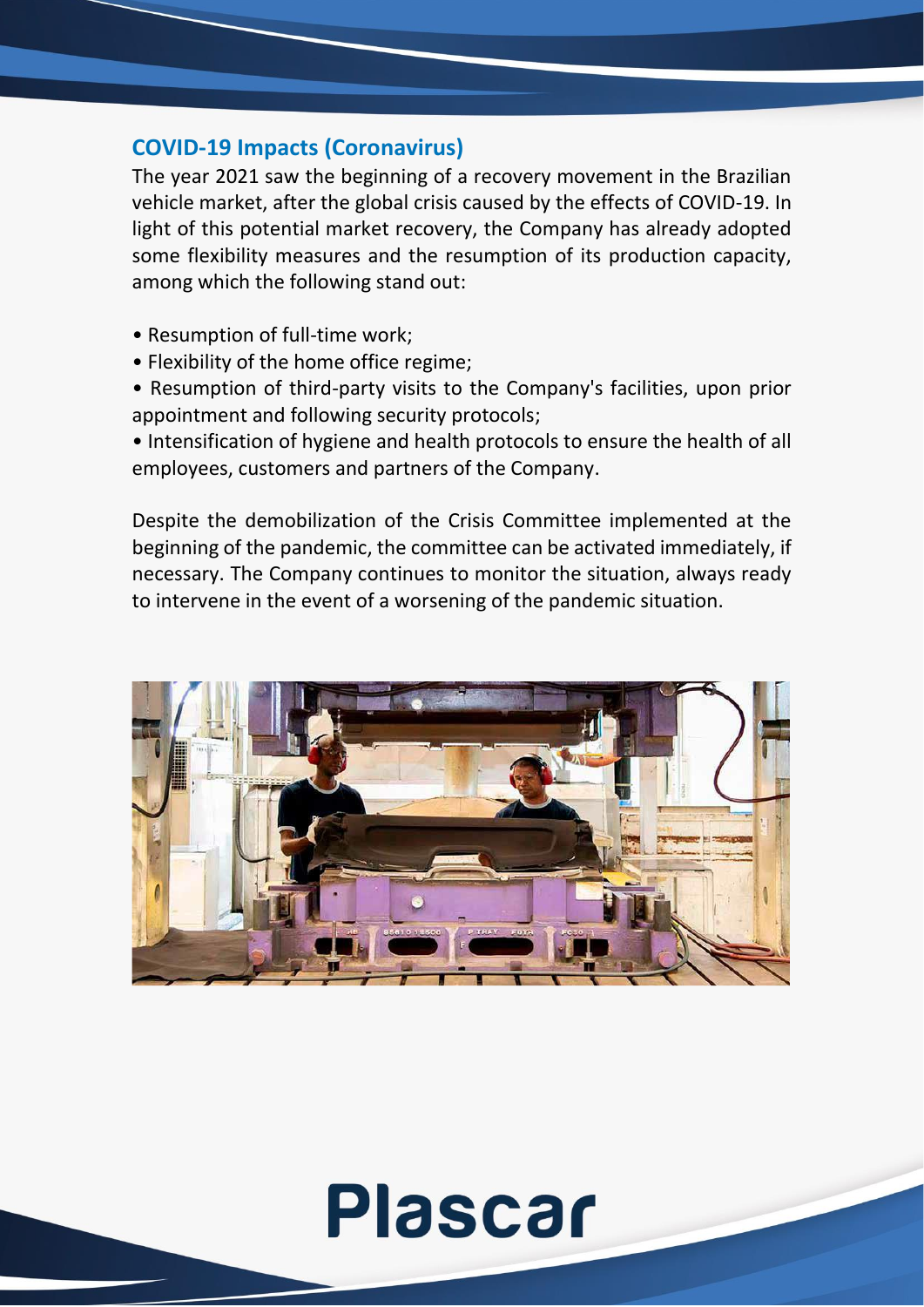### **COVID-19 Impacts (Coronavirus)**

The year 2021 saw the beginning of a recovery movement in the Brazilian vehicle market, after the global crisis caused by the effects of COVID-19. In light of this potential market recovery, the Company has already adopted some flexibility measures and the resumption of its production capacity, among which the following stand out:

- Resumption of full-time work;
- Flexibility of the home office regime;
- Resumption of third-party visits to the Company's facilities, upon prior appointment and following security protocols;

• Intensification of hygiene and health protocols to ensure the health of all employees, customers and partners of the Company.

Despite the demobilization of the Crisis Committee implemented at the beginning of the pandemic, the committee can be activated immediately, if necessary. The Company continues to monitor the situation, always ready to intervene in the event of a worsening of the pandemic situation.

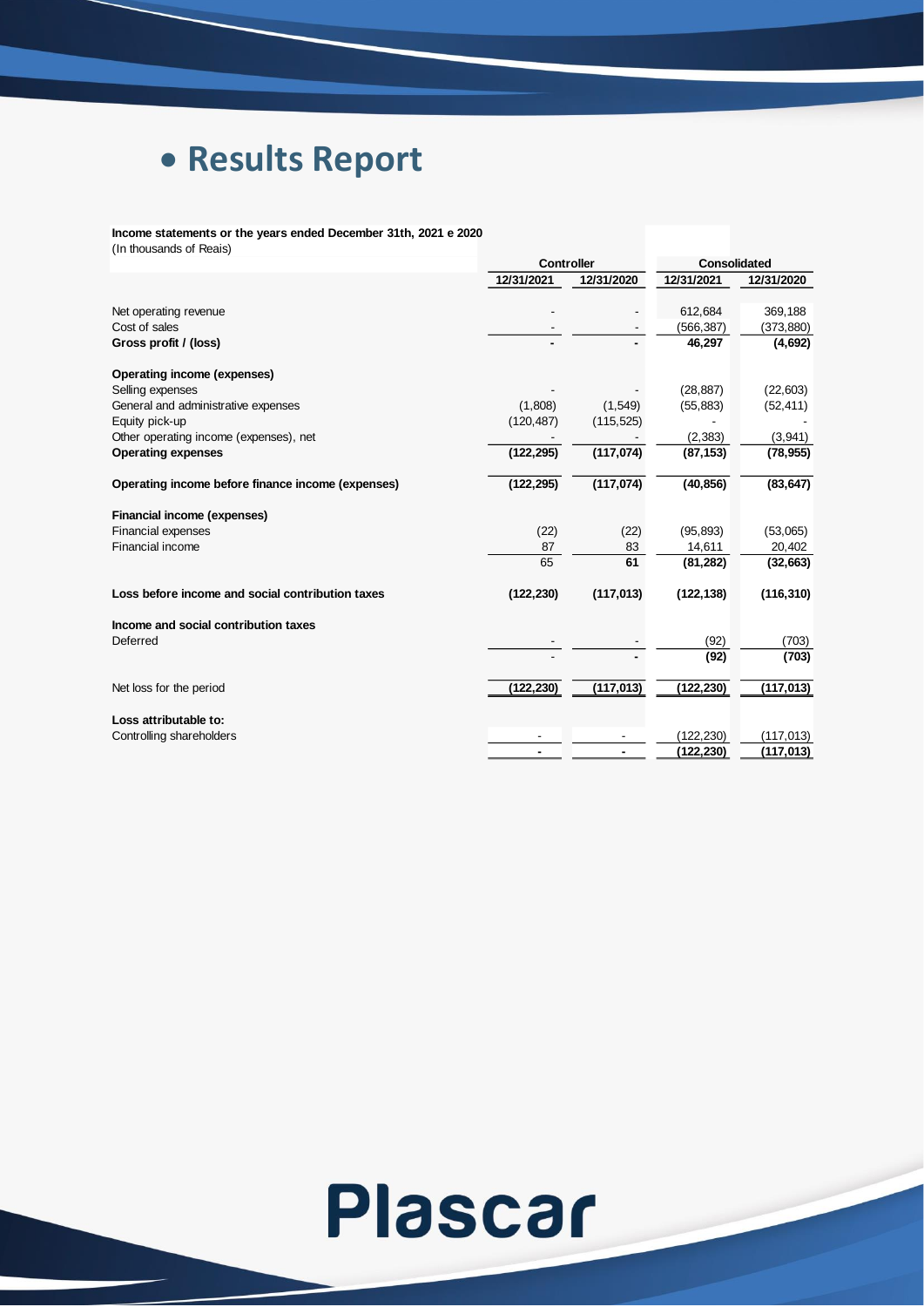## • **Results Report**

**Income statements or the years ended December 31th, 2021 e 2020** (In thousands of Reais)

|                                                   |            | <b>Controller</b> |            | <b>Consolidated</b> |  |
|---------------------------------------------------|------------|-------------------|------------|---------------------|--|
|                                                   | 12/31/2021 | 12/31/2020        | 12/31/2021 | 12/31/2020          |  |
| Net operating revenue                             |            |                   | 612,684    | 369,188             |  |
| Cost of sales                                     |            |                   | (566,387)  |                     |  |
|                                                   |            |                   | 46,297     | (373, 880)          |  |
| Gross profit / (loss)                             |            |                   |            | (4,692)             |  |
| Operating income (expenses)                       |            |                   |            |                     |  |
| Selling expenses                                  |            |                   | (28, 887)  | (22, 603)           |  |
| General and administrative expenses               | (1,808)    | (1,549)           | (55, 883)  | (52, 411)           |  |
| Equity pick-up                                    | (120, 487) | (115, 525)        |            |                     |  |
| Other operating income (expenses), net            |            |                   | (2, 383)   | (3,941)             |  |
| <b>Operating expenses</b>                         | (122, 295) | (117, 074)        | (87, 153)  | (78, 955)           |  |
| Operating income before finance income (expenses) | (122, 295) | (117, 074)        | (40, 856)  | (83, 647)           |  |
| Financial income (expenses)                       |            |                   |            |                     |  |
| <b>Financial expenses</b>                         | (22)       | (22)              | (95, 893)  | (53,065)            |  |
| Financial income                                  | 87         | 83                | 14,611     | 20,402              |  |
|                                                   | 65         | 61                | (81, 282)  | (32, 663)           |  |
| Loss before income and social contribution taxes  | (122, 230) | (117, 013)        | (122, 138) | (116, 310)          |  |
| Income and social contribution taxes              |            |                   |            |                     |  |
| Deferred                                          |            |                   | (92)       | (703)               |  |
|                                                   |            |                   | (92)       | (703)               |  |
| Net loss for the period                           | (122, 230) | (117, 013)        | (122,230)  | (117, 013)          |  |
|                                                   |            |                   |            |                     |  |
| Loss attributable to:                             |            |                   |            |                     |  |
| Controlling shareholders                          |            |                   | (122, 230) | (117, 013)          |  |
|                                                   |            |                   | (122, 230) | (117, 013)          |  |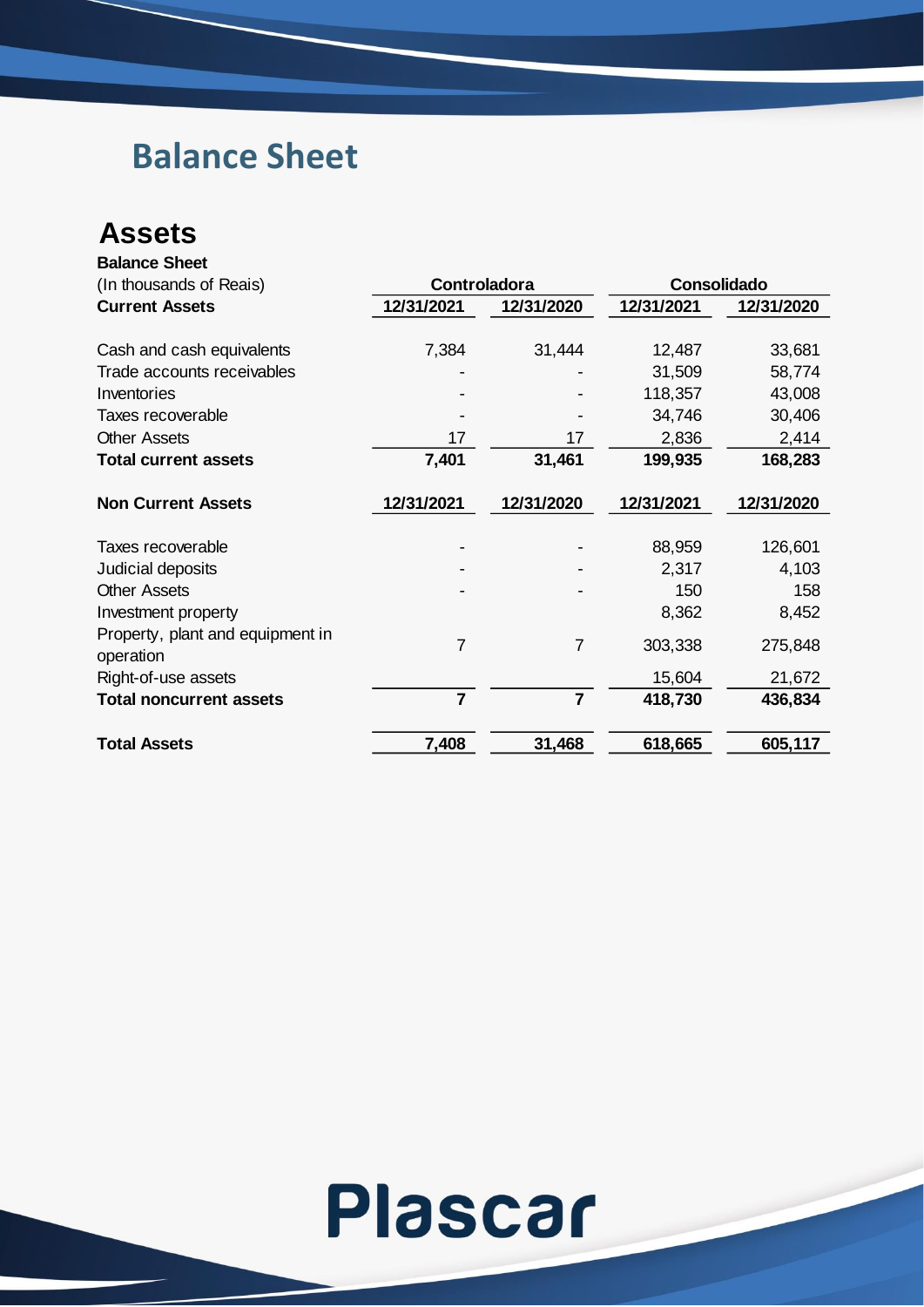## **Balance Sheet**

#### **Assets Balance Sheet**

| Dalahut Jiltti                   |                |                |                    |            |
|----------------------------------|----------------|----------------|--------------------|------------|
| (In thousands of Reais)          | Controladora   |                | <b>Consolidado</b> |            |
| <b>Current Assets</b>            | 12/31/2021     | 12/31/2020     | 12/31/2021         | 12/31/2020 |
|                                  |                |                |                    |            |
| Cash and cash equivalents        | 7,384          | 31,444         | 12,487             | 33,681     |
| Trade accounts receivables       |                |                | 31,509             | 58,774     |
| Inventories                      |                |                | 118,357            | 43,008     |
| Taxes recoverable                |                |                | 34,746             | 30,406     |
| <b>Other Assets</b>              | 17             | 17             | 2,836              | 2,414      |
| <b>Total current assets</b>      | 7,401          | 31,461         | 199,935            | 168,283    |
|                                  |                |                |                    |            |
| <b>Non Current Assets</b>        | 12/31/2021     | 12/31/2020     | 12/31/2021         | 12/31/2020 |
| Taxes recoverable                |                |                | 88,959             | 126,601    |
| Judicial deposits                |                |                | 2,317              | 4,103      |
| <b>Other Assets</b>              |                |                | 150                | 158        |
| Investment property              |                |                | 8,362              | 8,452      |
| Property, plant and equipment in |                |                |                    |            |
| operation                        | 7              | 7              | 303,338            | 275,848    |
| Right-of-use assets              |                |                | 15,604             | 21,672     |
| <b>Total noncurrent assets</b>   | $\overline{7}$ | $\overline{7}$ | 418,730            | 436,834    |
| <b>Total Assets</b>              | 7,408          | 31,468         | 618,665            | 605,117    |
|                                  |                |                |                    |            |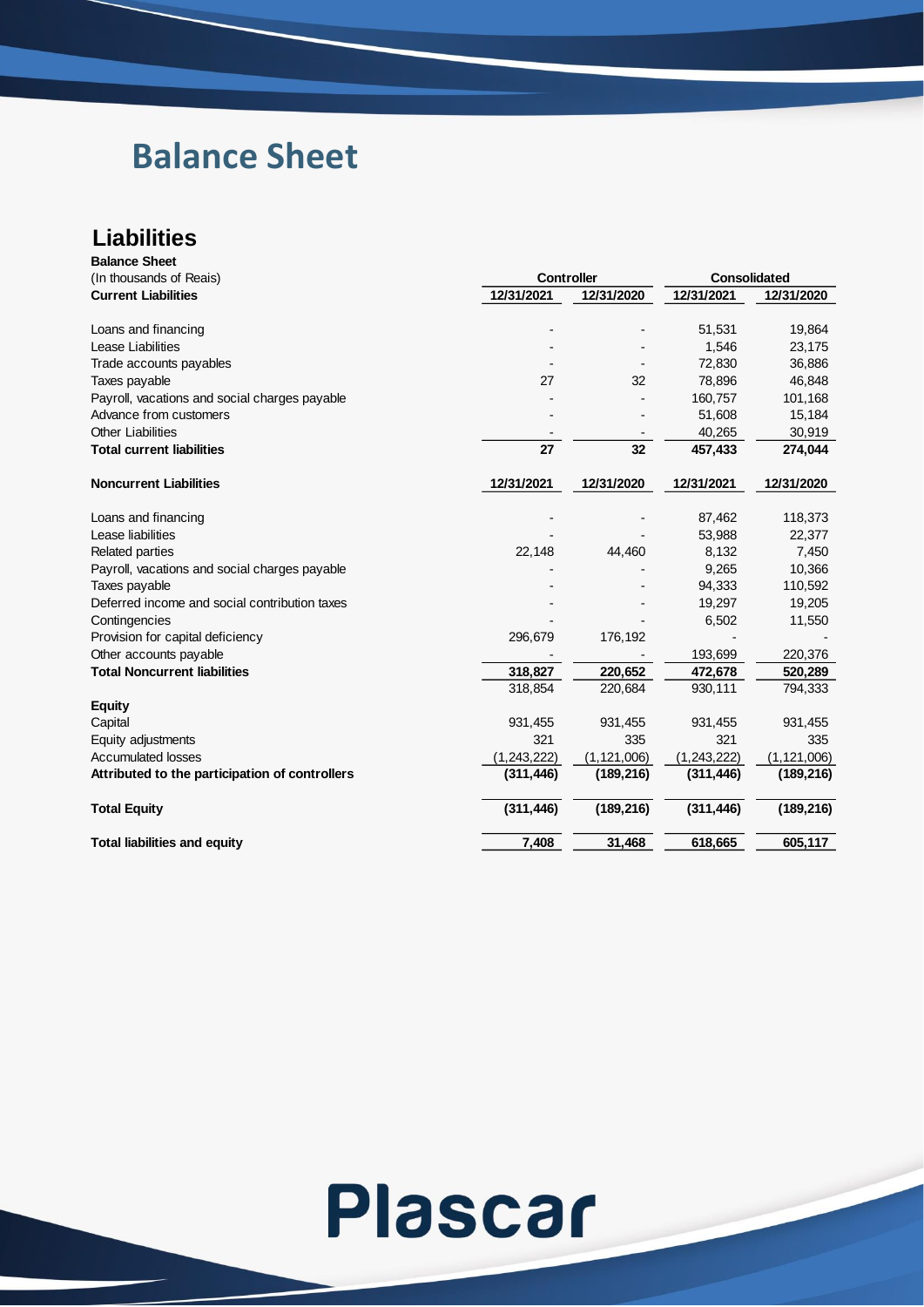## **Balance Sheet**

#### **Liabilities Balance Sheet**

| (In thousands of Reais)<br><b>Current Liabilities</b><br>Loans and financing<br>Lease Liabilities | <b>Controller</b><br>12/31/2021<br>27 | 12/31/2020    | Consolidated<br>12/31/2021<br>51,531<br>1,546 | 12/31/2020<br>19,864 |
|---------------------------------------------------------------------------------------------------|---------------------------------------|---------------|-----------------------------------------------|----------------------|
|                                                                                                   |                                       |               |                                               |                      |
|                                                                                                   |                                       |               |                                               |                      |
|                                                                                                   |                                       |               |                                               |                      |
|                                                                                                   |                                       |               |                                               | 23,175               |
| Trade accounts payables                                                                           |                                       |               | 72,830                                        | 36,886               |
| Taxes payable                                                                                     |                                       | 32            | 78,896                                        | 46,848               |
| Payroll, vacations and social charges payable                                                     |                                       |               | 160,757                                       | 101,168              |
| Advance from customers                                                                            |                                       |               | 51,608                                        | 15,184               |
| <b>Other Liabilities</b>                                                                          |                                       |               | 40,265                                        | 30,919               |
| <b>Total current liabilities</b>                                                                  | 27                                    | 32            | 457,433                                       | 274,044              |
| <b>Noncurrent Liabilities</b>                                                                     | 12/31/2021                            | 12/31/2020    | 12/31/2021                                    | 12/31/2020           |
| Loans and financing                                                                               |                                       |               | 87,462                                        | 118,373              |
| Lease liabilities                                                                                 |                                       |               | 53,988                                        | 22,377               |
| <b>Related parties</b>                                                                            | 22,148                                | 44,460        | 8,132                                         | 7,450                |
| Payroll, vacations and social charges payable                                                     |                                       |               | 9,265                                         | 10,366               |
| Taxes payable                                                                                     |                                       |               | 94,333                                        | 110,592              |
| Deferred income and social contribution taxes                                                     |                                       |               | 19,297                                        | 19,205               |
| Contingencies                                                                                     |                                       |               | 6,502                                         | 11,550               |
| Provision for capital deficiency                                                                  | 296,679                               | 176,192       |                                               |                      |
| Other accounts payable                                                                            |                                       |               | 193,699                                       | 220,376              |
| <b>Total Noncurrent liabilities</b>                                                               | 318,827                               | 220,652       | 472,678                                       | 520,289              |
|                                                                                                   | 318,854                               | 220,684       | 930,111                                       | 794,333              |
| <b>Equity</b>                                                                                     |                                       |               |                                               |                      |
| Capital                                                                                           | 931,455                               | 931,455       | 931,455                                       | 931,455              |
| Equity adjustments                                                                                | 321                                   | 335           | 321                                           | 335                  |
| <b>Accumulated losses</b>                                                                         | (1,243,222)                           | (1, 121, 006) | (1,243,222)                                   | (1, 121, 006)        |
| Attributed to the participation of controllers                                                    | (311, 446)                            | (189, 216)    | (311, 446)                                    | (189, 216)           |
| <b>Total Equity</b>                                                                               | (311, 446)                            | (189, 216)    | (311, 446)                                    | (189, 216)           |
| <b>Total liabilities and equity</b>                                                               | 7,408                                 | 31,468        | 618,665                                       | 605,117              |